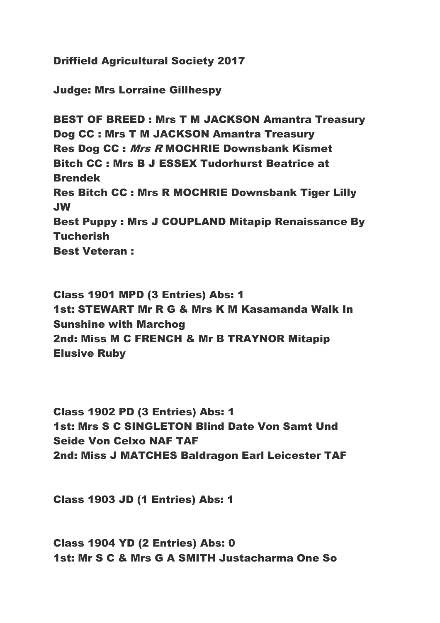Driffield Agricultural Society 2017

Judge: Mrs Lorraine Gillhespy

BEST OF BREED : Mrs T M JACKSON Amantra Treasury Dog CC : Mrs T M JACKSON Amantra Treasury Res Dog CC : Mrs R MOCHRIE Downsbank Kismet Bitch CC : Mrs B J ESSEX Tudorhurst Beatrice at Brendek Res Bitch CC : Mrs R MOCHRIE Downsbank Tiger Lilly JW Best Puppy : Mrs J COUPLAND Mitapip Renaissance By **Tucherish** Best Veteran :

Class 1901 MPD (3 Entries) Abs: 1 1st: STEWART Mr R G & Mrs K M Kasamanda Walk In Sunshine with Marchog 2nd: Miss M C FRENCH & Mr B TRAYNOR Mitapip Elusive Ruby

Class 1902 PD (3 Entries) Abs: 1 1st: Mrs S C SINGLETON Blind Date Von Samt Und Seide Von Celxo NAF TAF 2nd: Miss J MATCHES Baldragon Earl Leicester TAF

Class 1903 JD (1 Entries) Abs: 1

Class 1904 YD (2 Entries) Abs: 0 1st: Mr S C & Mrs G A SMITH Justacharma One So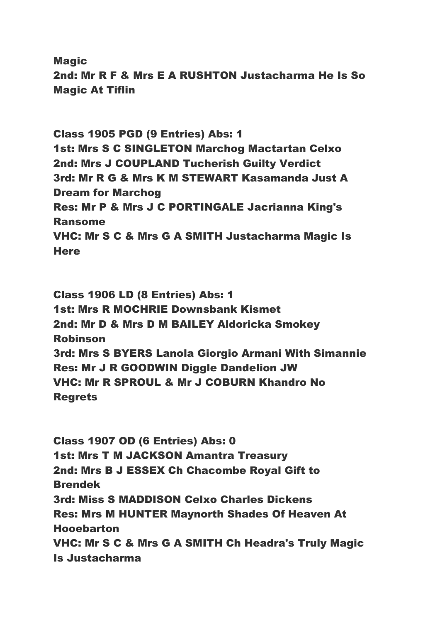**Magic** 2nd: Mr R F & Mrs E A RUSHTON Justacharma He Is So Magic At Tiflin

Class 1905 PGD (9 Entries) Abs: 1 1st: Mrs S C SINGLETON Marchog Mactartan Celxo 2nd: Mrs J COUPLAND Tucherish Guilty Verdict 3rd: Mr R G & Mrs K M STEWART Kasamanda Just A Dream for Marchog Res: Mr P & Mrs J C PORTINGALE Jacrianna King's Ransome VHC: Mr S C & Mrs G A SMITH Justacharma Magic Is **Here** 

Class 1906 LD (8 Entries) Abs: 1 1st: Mrs R MOCHRIE Downsbank Kismet 2nd: Mr D & Mrs D M BAILEY Aldoricka Smokey Robinson 3rd: Mrs S BYERS Lanola Giorgio Armani With Simannie Res: Mr J R GOODWIN Diggle Dandelion JW VHC: Mr R SPROUL & Mr J COBURN Khandro No Regrets

Class 1907 OD (6 Entries) Abs: 0 1st: Mrs T M JACKSON Amantra Treasury 2nd: Mrs B J ESSEX Ch Chacombe Royal Gift to Brendek 3rd: Miss S MADDISON Celxo Charles Dickens Res: Mrs M HUNTER Maynorth Shades Of Heaven At Hooebarton VHC: Mr S C & Mrs G A SMITH Ch Headra's Truly Magic Is Justacharma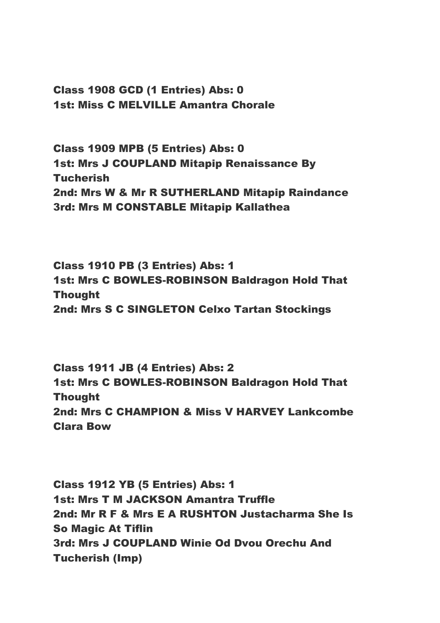Class 1908 GCD (1 Entries) Abs: 0 1st: Miss C MELVILLE Amantra Chorale

Class 1909 MPB (5 Entries) Abs: 0 1st: Mrs J COUPLAND Mitapip Renaissance By **Tucherish** 2nd: Mrs W & Mr R SUTHERLAND Mitapip Raindance 3rd: Mrs M CONSTABLE Mitapip Kallathea

Class 1910 PB (3 Entries) Abs: 1 1st: Mrs C BOWLES-ROBINSON Baldragon Hold That Thought 2nd: Mrs S C SINGLETON Celxo Tartan Stockings

Class 1911 JB (4 Entries) Abs: 2 1st: Mrs C BOWLES-ROBINSON Baldragon Hold That Thought 2nd: Mrs C CHAMPION & Miss V HARVEY Lankcombe Clara Bow

Class 1912 YB (5 Entries) Abs: 1 1st: Mrs T M JACKSON Amantra Truffle 2nd: Mr R F & Mrs E A RUSHTON Justacharma She Is So Magic At Tiflin 3rd: Mrs J COUPLAND Winie Od Dvou Orechu And Tucherish (Imp)